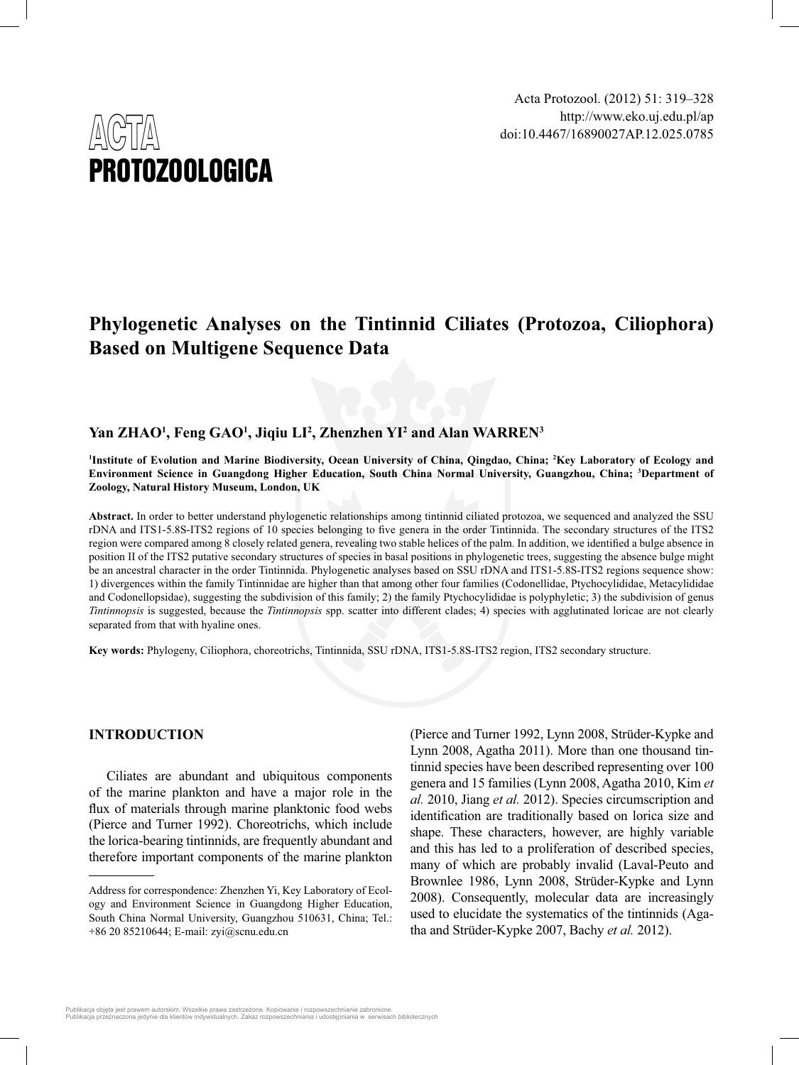

# **Phylogenetic Analyses on the Tintinnid Ciliates (Protozoa, Ciliophora) Based on Multigene Sequence Data**

## **Yan ZHAO1 , Feng GAO1 , Jiqiu LI2 , Zhenzhen YI2 and Alan WARREN3**

**1 Institute of Evolution and Marine Biodiversity, Ocean University of China, Qingdao, China; 2 Key Laboratory of Ecology and Environment Science in Guangdong Higher Education, South China Normal University, Guangzhou, China; 3 Department of Zoology, Natural History Museum, London, UK**

**Abstract.** In order to better understand phylogenetic relationships among tintinnid ciliated protozoa, we sequenced and analyzed the SSU rDNA and ITS1-5.8S-ITS2 regions of 10 species belonging to five genera in the order Tintinnida. The secondary structures of the ITS2 region were compared among 8 closely related genera, revealing two stable helices of the palm. In addition, we identified a bulge absence in position II of the ITS2 putative secondary structures of species in basal positions in phylogenetic trees, suggesting the absence bulge might be an ancestral character in the order Tintinnida. Phylogenetic analyses based on SSU rDNA and ITS1-5.8S-ITS2 regions sequence show: 1) divergences within the family Tintinnidae are higher than that among other four families (Codonellidae, Ptychocylididae, Metacylididae and Codonellopsidae), suggesting the subdivision of this family; 2) the family Ptychocylididae is polyphyletic; 3) the subdivision of genus *Tintinnopsis* is suggested, because the *Tintinnopsis* spp. scatter into different clades; 4) species with agglutinated loricae are not clearly separated from that with hyaline ones.

**Key words:** Phylogeny, Ciliophora, choreotrichs, Tintinnida, SSU rDNA, ITS1-5.8S-ITS2 region, ITS2 secondary structure.

## **INTRODUCTION**

Ciliates are abundant and ubiquitous components of the marine plankton and have a major role in the flux of materials through marine planktonic food webs (Pierce and Turner 1992). Choreotrichs, which include the lorica-bearing tintinnids, are frequently abundant and therefore important components of the marine plankton

(Pierce and Turner 1992, Lynn 2008, Strüder-Kypke and Lynn 2008, Agatha 2011). More than one thousand tintinnid species have been described representing over 100 genera and 15 families (Lynn 2008, Agatha 2010, Kim *et al.* 2010, Jiang *et al.* 2012). Species circumscription and identification are traditionally based on lorica size and shape. These characters, however, are highly variable and this has led to a proliferation of described species, many of which are probably invalid (Laval-Peuto and Brownlee 1986, Lynn 2008, Strüder-Kypke and Lynn 2008). Consequently, molecular data are increasingly used to elucidate the systematics of the tintinnids (Agatha and Strüder-Kypke 2007, Bachy *et al.* 2012).

Publikacja objęta jest prawem autorskim. Wszelkie prawa zastrzeżone. Kopiowanie i rozpowszechnianie zabronione<br>Publikacja przeznaczona jedynie dla klientów indywidualnych. Zakaz rozpowszechniania i udostępniania w serwisa aczona jedynie dla klientów indywidualnych. Zakaz rozpowszechniania i udostępniania w serwisach bibliotecznych

Address for correspondence: Zhenzhen Yi, Key Laboratory of Ecology and Environment Science in Guangdong Higher Education, South China Normal University, Guangzhou 510631, China; Tel.: +86 20 85210644; E-mail: zyi@scnu.edu.cn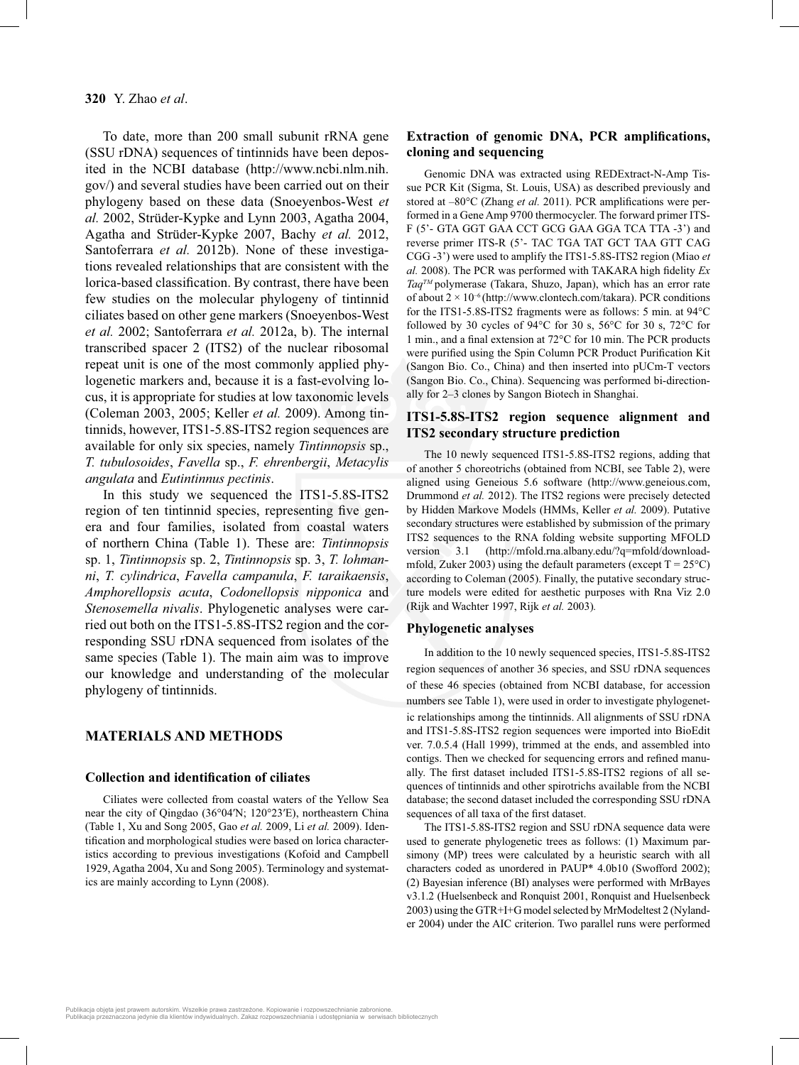To date, more than 200 small subunit rRNA gene (SSU rDNA) sequences of tintinnids have been deposited in the NCBI database (http://www.ncbi.nlm.nih. gov/) and several studies have been carried out on their phylogeny based on these data (Snoeyenbos-West *et al.* 2002, Strüder-Kypke and Lynn 2003, Agatha 2004, Agatha and Strüder-Kypke 2007, Bachy *et al.* 2012, Santoferrara *et al.* 2012b). None of these investigations revealed relationships that are consistent with the lorica-based classification. By contrast, there have been few studies on the molecular phylogeny of tintinnid ciliates based on other gene markers (Snoeyenbos-West *et al.* 2002; Santoferrara *et al.* 2012a, b). The internal transcribed spacer 2 (ITS2) of the nuclear ribosomal repeat unit is one of the most commonly applied phylogenetic markers and, because it is a fast-evolving locus, it is appropriate for studies at low taxonomic levels (Coleman 2003, 2005; Keller *et al.* 2009). Among tintinnids, however, ITS1-5.8S-ITS2 region sequences are available for only six species, namely *Tintinnopsis* sp., *T. tubulosoides*, *Favella* sp., *F. ehrenbergii*, *Metacylis angulata* and *Eutintinnus pectinis*.

In this study we sequenced the ITS1-5.8S-ITS2 region of ten tintinnid species, representing five genera and four families, isolated from coastal waters of northern China (Table 1). These are: *Tintinnopsis*  sp. 1, *Tintinnopsis* sp. 2, *Tintinnopsis* sp. 3, *T. lohmanni*, *T. cylindrica*, *Favella campanula*, *F. taraikaensis*, *Amphorellopsis acuta*, *Codonellopsis nipponica* and *Stenosemella nivalis*. Phylogenetic analyses were carried out both on the ITS1-5.8S-ITS2 region and the corresponding SSU rDNA sequenced from isolates of the same species (Table 1). The main aim was to improve our knowledge and understanding of the molecular phylogeny of tintinnids.

## **MATERIALS AND METHODS**

#### **Collection and identification of ciliates**

Ciliates were collected from coastal waters of the Yellow Sea near the city of Qingdao (36°04′N; 120°23′E), northeastern China (Table 1, Xu and Song 2005, Gao *et al.* 2009, Li *et al.* 2009). Identification and morphological studies were based on lorica characteristics according to previous investigations (Kofoid and Campbell 1929, Agatha 2004, Xu and Song 2005). Terminology and systematics are mainly according to Lynn (2008).

## **Extraction of genomic DNA, PCR amplifications, cloning and sequencing**

Genomic DNA was extracted using REDExtract-N-Amp Tissue PCR Kit (Sigma, St. Louis, USA) as described previously and stored at –80°C (Zhang et al. 2011). PCR amplifications were performed in a Gene Amp 9700 thermocycler. The forward primer ITS-F (5'- GTA GGT GAA CCT GCG GAA GGA TCA TTA -3') and reverse primer ITS-R (5'- TAC TGA TAT GCT TAA GTT CAG CGG -3') were used to amplify the ITS1-5.8S-ITS2 region (Miao *et*   $al. 2008$ ). The PCR was performed with TAKARA high fidelity  $Ex$ *TaqTM* polymerase (Takara, Shuzo, Japan), which has an error rate of about  $2 \times 10^{-6}$  (http://www.clontech.com/takara). PCR conditions for the ITS1-5.8S-ITS2 fragments were as follows: 5 min. at 94°C followed by 30 cycles of 94°C for 30 s, 56°C for 30 s, 72°C for 1 min., and a final extension at  $72^{\circ}$ C for 10 min. The PCR products were purified using the Spin Column PCR Product Purification Kit (Sangon Bio. Co., China) and then inserted into pUCm-T vectors (Sangon Bio. Co., China). Sequencing was performed bi-directionally for 2–3 clones by Sangon Biotech in Shanghai.

## **ITS1-5.8S-ITS2 region sequence alignment and ITS2 secondary structure prediction**

The 10 newly sequenced ITS1-5.8S-ITS2 regions, adding that of another 5 choreotrichs (obtained from NCBI, see Table 2), were aligned using Geneious 5.6 software (http://www.geneious.com, Drummond *et al.* 2012). The ITS2 regions were precisely detected by Hidden Markove Models (HMMs, Keller *et al.* 2009). Putative secondary structures were established by submission of the primary ITS2 sequences to the RNA folding website supporting MFOLD version 3.1 (http://mfold.rna.albany.edu/?q=mfold/downloadmfold, Zuker 2003) using the default parameters (except  $T = 25^{\circ}C$ ) according to Coleman (2005). Finally, the putative secondary structure models were edited for aesthetic purposes with Rna Viz 2.0 (Rijk and Wachter 1997, Rijk *et al.* 2003)*.*

#### **Phylogenetic analyses**

In addition to the 10 newly sequenced species, ITS1-5.8S-ITS2 region sequences of another 36 species, and SSU rDNA sequences of these 46 species (obtained from NCBI database, for accession numbers see Table 1), were used in order to investigate phylogenetic relationships among the tintinnids. All alignments of SSU rDNA and ITS1-5.8S-ITS2 region sequences were imported into BioEdit ver. 7.0.5.4 (Hall 1999), trimmed at the ends, and assembled into contigs. Then we checked for sequencing errors and refined manually. The first dataset included ITS1-5.8S-ITS2 regions of all sequences of tintinnids and other spirotrichs available from the NCBI database; the second dataset included the corresponding SSU rDNA sequences of all taxa of the first dataset.

The ITS1-5.8S-ITS2 region and SSU rDNA sequence data were used to generate phylogenetic trees as follows: (1) Maximum parsimony (MP) trees were calculated by a heuristic search with all characters coded as unordered in PAUP\* 4.0b10 (Swofford 2002); (2) Bayesian inference (BI) analyses were performed with MrBayes v3.1.2 (Huelsenbeck and Ronquist 2001, Ronquist and Huelsenbeck 2003) using the GTR+I+G model selected by MrModeltest 2 (Nylander 2004) under the AIC criterion. Two parallel runs were performed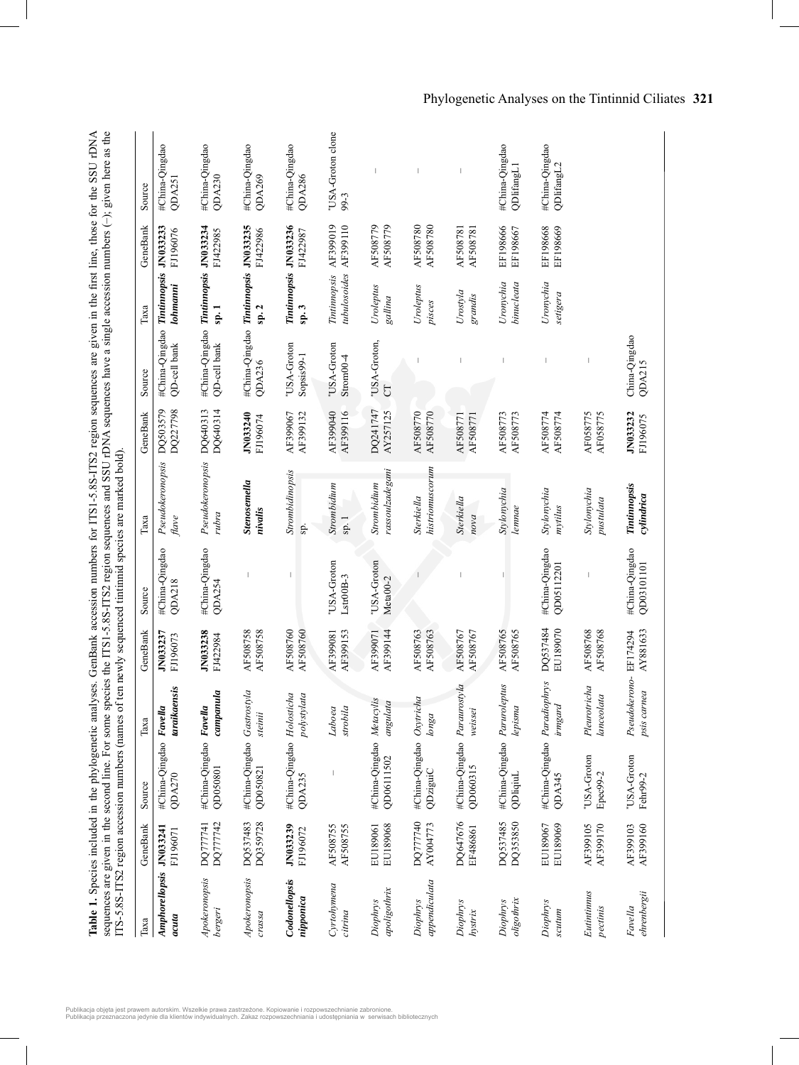|                                 |                      |                                            |                                      |                      |                              | ITS-5.8S-ITS2 region accession numbers (names of ten newly sequenced tintimid species are marked bold). |                      |                                                |                                       |                      | sequences are given in the second line. For some species the ITS1-5.8S-ITS2 region sequences and SSU rDNA sequences have a single accession numbers (-); given here as the<br>Table 1. Species included in the phylogenetic analyses. GenBank accession numbers for ITS1-5.8S-ITS2 region sequences are given in the first line, those for the SSU rDNA |
|---------------------------------|----------------------|--------------------------------------------|--------------------------------------|----------------------|------------------------------|---------------------------------------------------------------------------------------------------------|----------------------|------------------------------------------------|---------------------------------------|----------------------|---------------------------------------------------------------------------------------------------------------------------------------------------------------------------------------------------------------------------------------------------------------------------------------------------------------------------------------------------------|
| Таха                            | GeneBank             | Source                                     | Таха                                 | GeneBank             | Source                       | Таха                                                                                                    | GeneBank             | Source                                         | Таха                                  | GeneBank             | Source                                                                                                                                                                                                                                                                                                                                                  |
| Amphorellopsis<br>acuta         | JN033241<br>FJ196071 | #China-Qingdao Favella<br>QDA270           | taraikaensis                         | JN033237<br>FJ196073 | #China-Qingdao<br>QDA218     | Pseudokeronopsis<br>flave                                                                               | DQ503579<br>DQ227798 | #China-Qingdao<br>QD-cell bank                 | Tintinnopsis<br>lohmanni              | JN033233<br>FJ196076 | #China-Qingdao<br>QDA251                                                                                                                                                                                                                                                                                                                                |
| Apokeronopsis<br><b>bergeri</b> | DQ777742<br>DQ777741 | #China-Qingdao Favella<br>QD050801         | comp and a                           | JN033238<br>FJ422984 | #China-Qingdao<br>QDA254     | Pseudokeronopsis<br>rubra                                                                               | DQ640314<br>DQ640313 | #China-Qingdao<br>QD-cell bank                 | Tintinnopsis JN033234<br>$s_p$ . 1    | FJ422985             | #China-Qingdao<br>QDA230                                                                                                                                                                                                                                                                                                                                |
| Apokeronopsis<br>crassa         | DQ359728<br>DQ537483 | #China-Qingdao Gastrostyla<br>QD050821     | steinii                              | AF508758<br>AF508758 |                              | Stenosemella<br>nivalis                                                                                 | JN033240<br>FJ196074 | #China-Qingdao Tintinnopsis JN033235<br>QDA236 | sp.2                                  | FJ422986             | #China-Qingdao<br>QDA269                                                                                                                                                                                                                                                                                                                                |
| Codonellopsis<br>nipponica      | JN033239<br>FJ196072 | #China-Qingdao Holosticha<br><b>ODA235</b> | polystylata                          | AF508760<br>AF508760 | I                            | Strombidinopsis<br>sp.                                                                                  | AF399067<br>AF399132 | USA-Groton<br>Sopsis99-1                       | Tintinnopsis JN033236<br>sp.3         | FJ422987             | #China-Qingdao<br>QDA286                                                                                                                                                                                                                                                                                                                                |
| Cyrtohymena<br>citrina          | AF508755<br>AF508755 |                                            | strobila<br>Laboea                   | AF399153<br>AF399081 | USA-Groton<br>Lstr00B-3      | Strombidium<br>sp.1                                                                                     | AF399040<br>AF399116 | "USA-Groton<br>$Strongo-4$                     | Tintinnopsis AF399019<br>tubulosoides | AF399110             | "USA-Groton clone<br>99-3                                                                                                                                                                                                                                                                                                                               |
| apoligothrix<br>Diophrys        | EU189068<br>EU189061 | #China-Qingdao Metacylis<br>QD06111502     | angulata                             | AF399144<br>AF399071 | USA-Groton<br>Meta00-2       | rassoulzadegani<br>Strombidium                                                                          | DQ241747<br>AY257125 | 'USA-Groton,<br>5                              | Uroleptus<br>gallina                  | AF508779<br>AF508779 |                                                                                                                                                                                                                                                                                                                                                         |
| appendiculata<br>Diophrys       | DO777740<br>AY004773 | #China-Qingdao Oxytricha<br>QDziguiC       | longa                                | AF508763<br>AF508763 |                              | histriomuscorum<br>Sterkiella                                                                           | AF508770<br>AF508770 |                                                | Uroleptus<br>pisces                   | AF508780<br>AF508780 |                                                                                                                                                                                                                                                                                                                                                         |
| Diophrys<br>hystrix             | DO647676<br>EF486861 | #China-Qingdao Paraurostyla<br>QD060315    | weissei                              | AF508767<br>AF508767 |                              | <b>Sterkiella</b><br>nova                                                                               | AF508771<br>AF508771 |                                                | Urostyla<br>grandis                   | AF508781<br>AF508781 |                                                                                                                                                                                                                                                                                                                                                         |
| oligothrix<br>Diophrys          | DQ537485<br>DQ353850 | #China-Qingdao Paruroleptus<br>QDliqiuL    | lepisma                              | AF508765<br>AF508765 |                              | Stylonychia<br>lemnae                                                                                   | AF508773<br>AF508773 |                                                | Uronychia<br>binucleata               | EF198666<br>EF198667 | #China-Qingdao<br>QDlifangL1                                                                                                                                                                                                                                                                                                                            |
| Diophrys<br>scutum              | EU189067<br>EU189069 | #China-Qingdao Paradiophrys<br>QDA345      | irmgard                              | DQ537484<br>EU189070 | #China-Qingdao<br>QD05112201 | Stylonychia<br>mytilus                                                                                  | AF508774<br>AF508774 |                                                | Uronychia<br>setigera                 | EF198668<br>EF198669 | #China-Qingdao<br>QDlifangL2                                                                                                                                                                                                                                                                                                                            |
| Eutintinuus<br>pectinis         | AF399105<br>AF399170 | "USA-Groton<br>Epec99-2                    | Pleurotricha<br>lanceolata           | AF508768<br>AF508768 |                              | Stylonychia<br>pustulata                                                                                | AF058775<br>AF058775 |                                                |                                       |                      |                                                                                                                                                                                                                                                                                                                                                         |
| ehrenbergii<br>Favella          | AF399103<br>AF399160 | 'USA-Groton<br>Fehr99-2                    | Pseudokerono-EF174294<br>psis carnea | AY881633             | #China-Qingdao<br>QD03101101 | Tintinnopsis<br>cylindrica                                                                              | JN033232<br>FJ196075 | China-Qingdao<br>QDA215                        |                                       |                      |                                                                                                                                                                                                                                                                                                                                                         |

Phylogenetic Analyses on the Tintinnid Ciliates **321**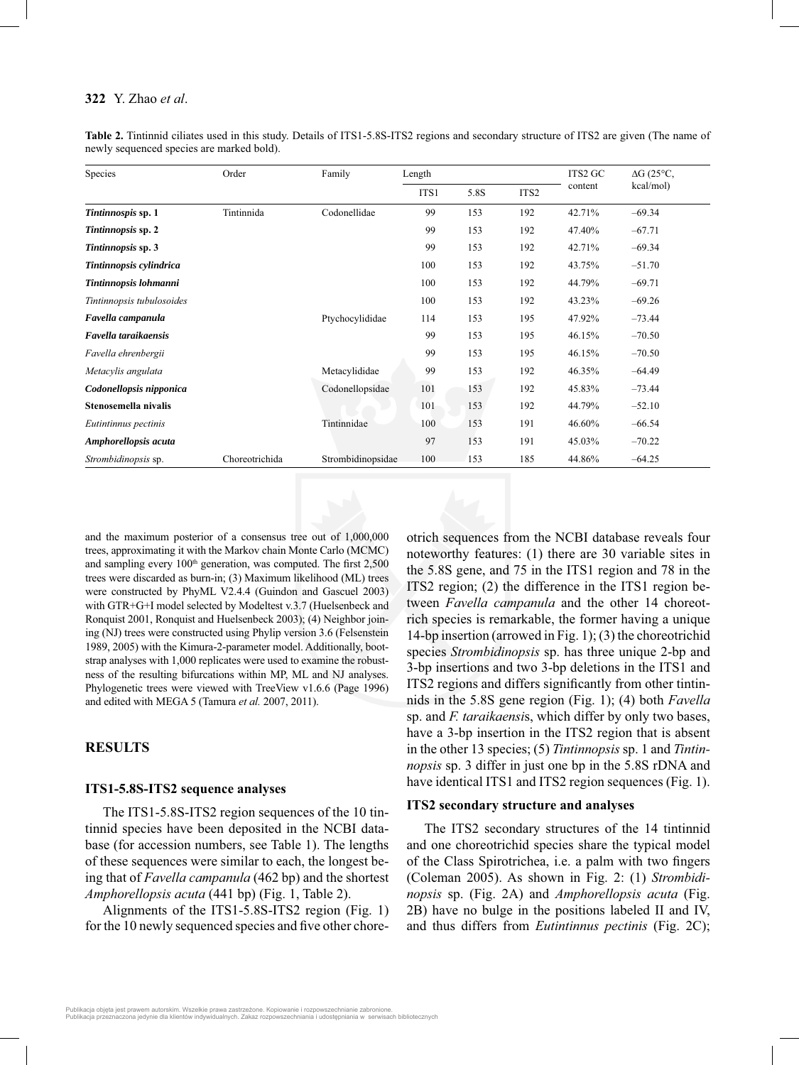| Species                   | Order          | Family            | Length |      |                  | ITS2 GC | $\Delta G$ (25°C, |
|---------------------------|----------------|-------------------|--------|------|------------------|---------|-------------------|
|                           |                |                   | ITS1   | 5.8S | ITS <sub>2</sub> | content | kcal/mol)         |
| Tintinnospis sp. 1        | Tintinnida     | Codonellidae      | 99     | 153  | 192              | 42.71%  | $-69.34$          |
| Tintinnopsis sp. 2        |                |                   | 99     | 153  | 192              | 47.40%  | $-67.71$          |
| Tintinnopsis sp. 3        |                |                   | 99     | 153  | 192              | 42.71%  | $-69.34$          |
| Tintinnopsis cylindrica   |                |                   | 100    | 153  | 192              | 43.75%  | $-51.70$          |
| Tintinnopsis lohmanni     |                |                   | 100    | 153  | 192              | 44.79%  | $-69.71$          |
| Tintinnopsis tubulosoides |                |                   | 100    | 153  | 192              | 43.23%  | $-69.26$          |
| Favella campanula         |                | Ptychocylididae   | 114    | 153  | 195              | 47.92%  | $-73.44$          |
| Favella taraikaensis      |                |                   | 99     | 153  | 195              | 46.15%  | $-70.50$          |
| Favella ehrenbergii       |                |                   | 99     | 153  | 195              | 46.15%  | $-70.50$          |
| Metacylis angulata        |                | Metacylididae     | 99     | 153  | 192              | 46.35%  | $-64.49$          |
| Codonellopsis nipponica   |                | Codonellopsidae   | 101    | 153  | 192              | 45.83%  | $-73.44$          |
| Stenosemella nivalis      |                |                   | 101    | 153  | 192              | 44.79%  | $-52.10$          |
| Eutintinnus pectinis      |                | Tintinnidae       | 100    | 153  | 191              | 46.60%  | $-66.54$          |
| Amphorellopsis acuta      |                |                   | 97     | 153  | 191              | 45.03%  | $-70.22$          |
| Strombidinopsis sp.       | Choreotrichida | Strombidinopsidae | 100    | 153  | 185              | 44.86%  | $-64.25$          |

**Table 2.** Tintinnid ciliates used in this study. Details of ITS1-5.8S-ITS2 regions and secondary structure of ITS2 are given (The name of newly sequenced species are marked bold).

and the maximum posterior of a consensus tree out of 1,000,000 trees, approximating it with the Markov chain Monte Carlo (MCMC) and sampling every  $100<sup>th</sup>$  generation, was computed. The first 2,500 trees were discarded as burn-in; (3) Maximum likelihood (ML) trees were constructed by PhyML V2.4.4 (Guindon and Gascuel 2003) with GTR+G+I model selected by Modeltest v.3.7 (Huelsenbeck and Ronquist 2001, Ronquist and Huelsenbeck 2003); (4) Neighbor joining (NJ) trees were constructed using Phylip version 3.6 (Felsenstein 1989, 2005) with the Kimura-2-parameter model. Additionally, bootstrap analyses with 1,000 replicates were used to examine the robustness of the resulting bifurcations within MP, ML and NJ analyses. Phylogenetic trees were viewed with TreeView v1.6.6 (Page 1996) and edited with MEGA 5 (Tamura *et al.* 2007, 2011).

## **RESULTS**

#### **ITS1-5.8S-ITS2 sequence analyses**

The ITS1-5.8S-ITS2 region sequences of the 10 tintinnid species have been deposited in the NCBI database (for accession numbers, see Table 1). The lengths of these sequences were similar to each, the longest being that of *Favella campanula* (462 bp) and the shortest *Amphorellopsis acuta* (441 bp) (Fig. 1, Table 2).

Alignments of the ITS1-5.8S-ITS2 region (Fig. 1) for the 10 newly sequenced species and five other choreotrich sequences from the NCBI database reveals four noteworthy features: (1) there are 30 variable sites in the 5.8S gene, and 75 in the ITS1 region and 78 in the ITS2 region; (2) the difference in the ITS1 region between *Favella campanula* and the other 14 choreotrich species is remarkable, the former having a unique 14-bp insertion (arrowed in Fig. 1); (3) the choreotrichid species *Strombidinopsis* sp. has three unique 2-bp and 3-bp insertions and two 3-bp deletions in the ITS1 and ITS2 regions and differs significantly from other tintinnids in the 5.8S gene region (Fig. 1); (4) both *Favella*  sp. and *F. taraikaensi*s, which differ by only two bases, have a 3-bp insertion in the ITS2 region that is absent in the other 13 species; (5) *Tintinnopsis* sp. 1 and *Tintinnopsis* sp. 3 differ in just one bp in the 5.8S rDNA and have identical ITS1 and ITS2 region sequences (Fig. 1).

#### **ITS2 secondary structure and analyses**

The ITS2 secondary structures of the 14 tintinnid and one choreotrichid species share the typical model of the Class Spirotrichea, i.e. a palm with two fingers (Coleman 2005). As shown in Fig. 2: (1) *Strombidinopsis* sp. (Fig. 2A) and *Amphorellopsis acuta* (Fig. 2B) have no bulge in the positions labeled II and IV, and thus differs from *Eutintinnus pectinis* (Fig. 2C);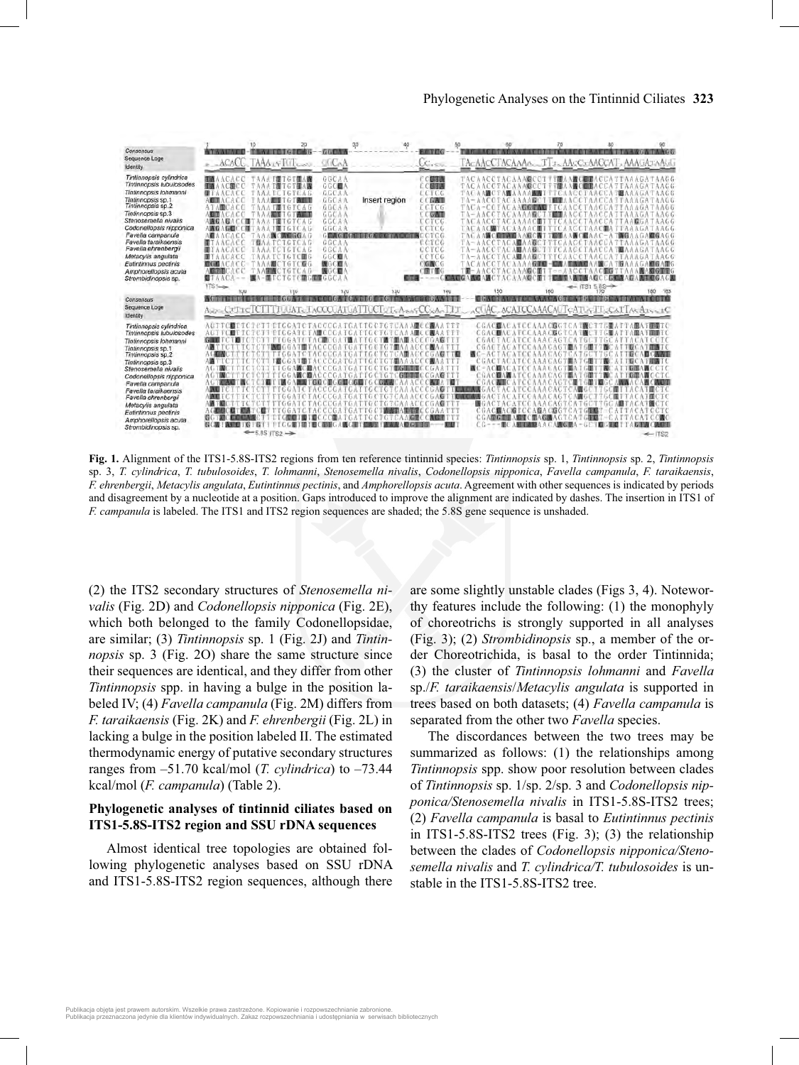

**Fig. 1.** Alignment of the ITS1-5.8S-ITS2 regions from ten reference tintinnid species: *Tintinnopsis* sp. 1, *Tintinnopsis* sp. 2, *Tintinnopsis*  sp. 3, *T. cylindrica*, *T. tubulosoides*, *T. lohmanni*, *Stenosemella nivalis*, *Codonellopsis nipponica*, *Favella campanula*, *F. taraikaensis*, *F. ehrenbergii*, *Metacylis angulata*, *Eutintinnus pectinis*, and *Amphorellopsis acuta*. Agreement with other sequences is indicated by periods and disagreement by a nucleotide at a position. Gaps introduced to improve the alignment are indicated by dashes. The insertion in ITS1 of *F. campanula* is labeled. The ITS1 and ITS2 region sequences are shaded; the 5.8S gene sequence is unshaded.

(2) the ITS2 secondary structures of *Stenosemella nivalis* (Fig. 2D) and *Codonellopsis nipponica* (Fig. 2E), which both belonged to the family Codonellopsidae, are similar; (3) *Tintinnopsis* sp. 1 (Fig. 2J) and *Tintinnopsis* sp. 3 (Fig. 2O) share the same structure since their sequences are identical, and they differ from other *Tintinnopsis* spp. in having a bulge in the position labeled IV; (4) *Favella campanula* (Fig. 2M) differs from *F. taraikaensis* (Fig. 2K) and *F. ehrenbergii* (Fig. 2L) in lacking a bulge in the position labeled II. The estimated thermodynamic energy of putative secondary structures ranges from –51.70 kcal/mol (*T. cylindrica*) to –73.44 kcal/mol (*F. campanula*) (Table 2).

## **Phylogenetic analyses of tintinnid ciliates based on ITS1-5.8S-ITS2 region and SSU rDNA sequences**

Almost identical tree topologies are obtained following phylogenetic analyses based on SSU rDNA and ITS1-5.8S-ITS2 region sequences, although there

are some slightly unstable clades (Figs 3, 4). Noteworthy features include the following: (1) the monophyly of choreotrichs is strongly supported in all analyses (Fig. 3); (2) *Strombidinopsis* sp., a member of the order Choreotrichida, is basal to the order Tintinnida; (3) the cluster of *Tintinnopsis lohmanni* and *Favella*  sp./*F. taraikaensis*/*Metacylis angulata* is supported in trees based on both datasets; (4) *Favella campanula* is separated from the other two *Favella* species.

The discordances between the two trees may be summarized as follows: (1) the relationships among *Tintinnopsis* spp. show poor resolution between clades of *Tintinnopsis* sp. 1/sp. 2/sp. 3 and *Codonellopsis nipponica/Stenosemella nivalis* in ITS1-5.8S-ITS2 trees; (2) *Favella campanula* is basal to *Eutintinnus pectinis* in ITS1-5.8S-ITS2 trees (Fig. 3); (3) the relationship between the clades of *Codonellopsis nipponica/Stenosemella nivalis* and *T. cylindrica/T. tubulosoides* is unstable in the ITS1-5.8S-ITS2 tree.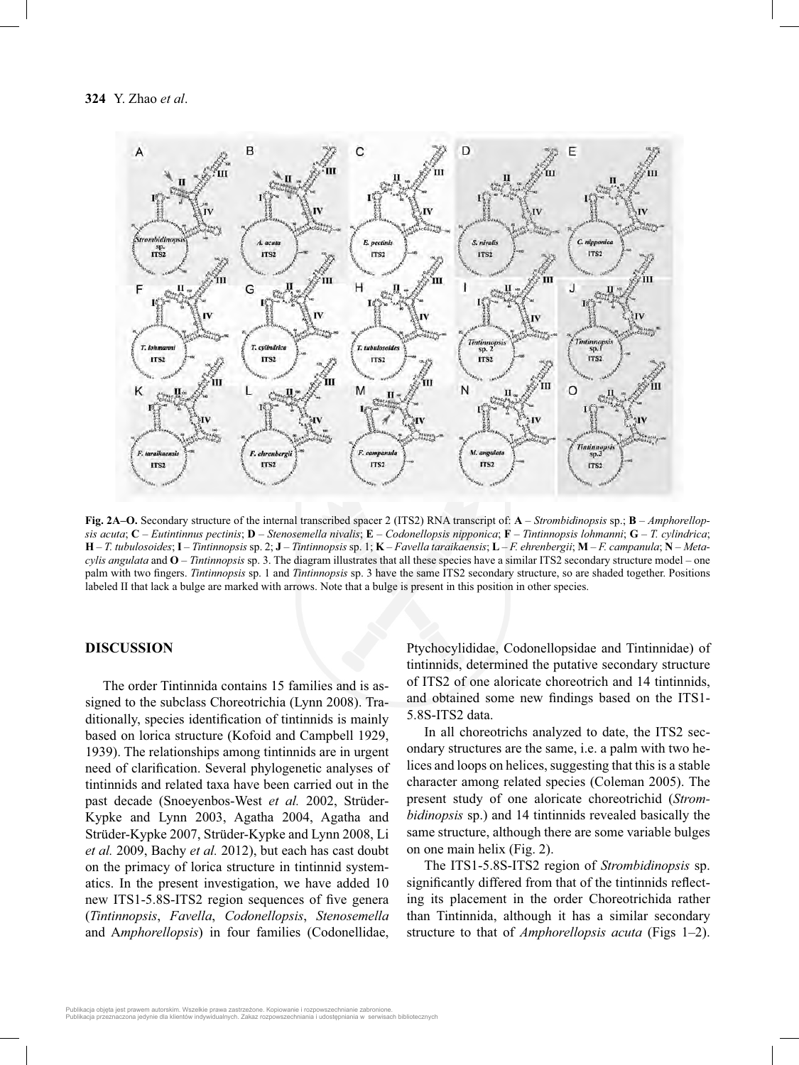

**Fig. 2A–O.** Secondary structure of the internal transcribed spacer 2 (ITS2) RNA transcript of: **A** – *Strombidinopsis* sp.; **B** – *Amphorellopsis acuta*; **C** – *Eutintinnus pectinis*; **D** – *Stenosemella nivalis*; **E** – *Codonellopsis nipponica*; **F** – *Tintinnopsis lohmanni*; **G** – *T. cylindrica*;  $H - T$ . tubulosoides; I - Tintinnopsis sp. 2; J - Tintinnopsis sp. 1; K - Favella taraikaensis; L - F. ehrenbergii; M - F. campanula; N - Meta*cylis angulata* and **O** – *Tintinnopsis* sp. 3. The diagram illustrates that all these species have a similar ITS2 secondary structure model – one palm with two fi ngers. *Tintinnopsis* sp. 1 and *Tintinnopsis* sp. 3 have the same ITS2 secondary structure, so are shaded together. Positions labeled II that lack a bulge are marked with arrows. Note that a bulge is present in this position in other species.

#### **DISCUSSION**

The order Tintinnida contains 15 families and is assigned to the subclass Choreotrichia (Lynn 2008). Traditionally, species identification of tintinnids is mainly based on lorica structure (Kofoid and Campbell 1929, 1939). The relationships among tintinnids are in urgent need of clarification. Several phylogenetic analyses of tintinnids and related taxa have been carried out in the past decade (Snoeyenbos-West *et al.* 2002, Strüder-Kypke and Lynn 2003, Agatha 2004, Agatha and Strüder-Kypke 2007, Strüder-Kypke and Lynn 2008, Li *et al.* 2009, Bachy *et al.* 2012), but each has cast doubt on the primacy of lorica structure in tintinnid systematics. In the present investigation, we have added 10 new ITS1-5.8S-ITS2 region sequences of five genera (*Tintinnopsis*, *Favella*, *Codonellopsis*, *Stenosemella* and A*mphorellopsis*) in four families (Codonellidae,

Ptychocylididae, Codonellopsidae and Tintinnidae) of tintinnids, determined the putative secondary structure of ITS2 of one aloricate choreotrich and 14 tintinnids, and obtained some new findings based on the ITS1-5.8S-ITS2 data.

In all choreotrichs analyzed to date, the ITS2 secondary structures are the same, i.e. a palm with two helices and loops on helices, suggesting that this is a stable character among related species (Coleman 2005). The present study of one aloricate choreotrichid (*Strombidinopsis* sp.) and 14 tintinnids revealed basically the same structure, although there are some variable bulges on one main helix (Fig. 2).

The ITS1-5.8S-ITS2 region of *Strombidinopsis* sp. significantly differed from that of the tintinnids reflecting its placement in the order Choreotrichida rather than Tintinnida, although it has a similar secondary structure to that of *Amphorellopsis acuta* (Figs 1–2).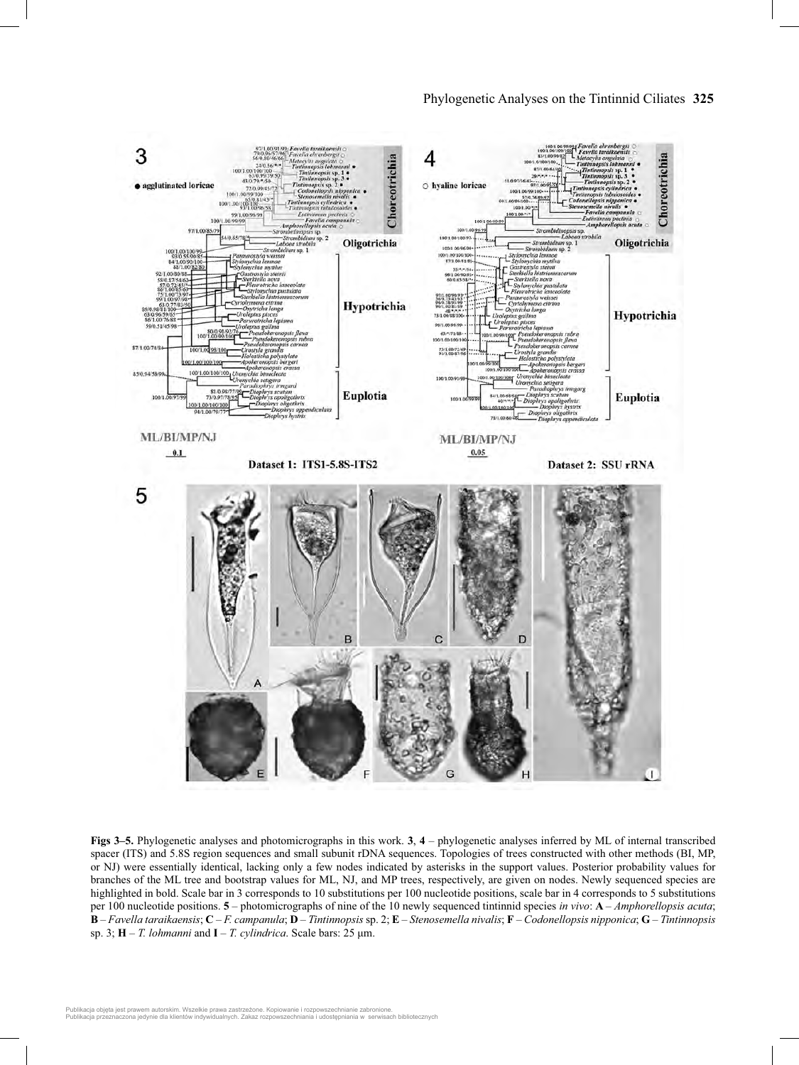

**Figs 3–5.** Phylogenetic analyses and photomicrographs in this work. **3**, **4** – phylogenetic analyses inferred by ML of internal transcribed spacer (ITS) and 5.8S region sequences and small subunit rDNA sequences. Topologies of trees constructed with other methods (BI, MP, or NJ) were essentially identical, lacking only a few nodes indicated by asterisks in the support values. Posterior probability values for branches of the ML tree and bootstrap values for ML, NJ, and MP trees, respectively, are given on nodes. Newly sequenced species are highlighted in bold. Scale bar in 3 corresponds to 10 substitutions per 100 nucleotide positions, scale bar in 4 corresponds to 5 substitutions per 100 nucleotide positions. **5** – photomicrographs of nine of the 10 newly sequenced tintinnid species *in vivo*: **A** – *Amphorellopsis acuta*; **B** – *Favella taraikaensis*; **C** – *F. campanula*; **D** – *Tintinnopsis* sp. 2; **E** – *Stenosemella nivalis*; **F** – *Codonellopsis nipponica*; **G** – *Tintinnopsis* sp. 3; **H** – *T. lohmanni* and **I** – *T. cylindrica*. Scale bars: 25 μm.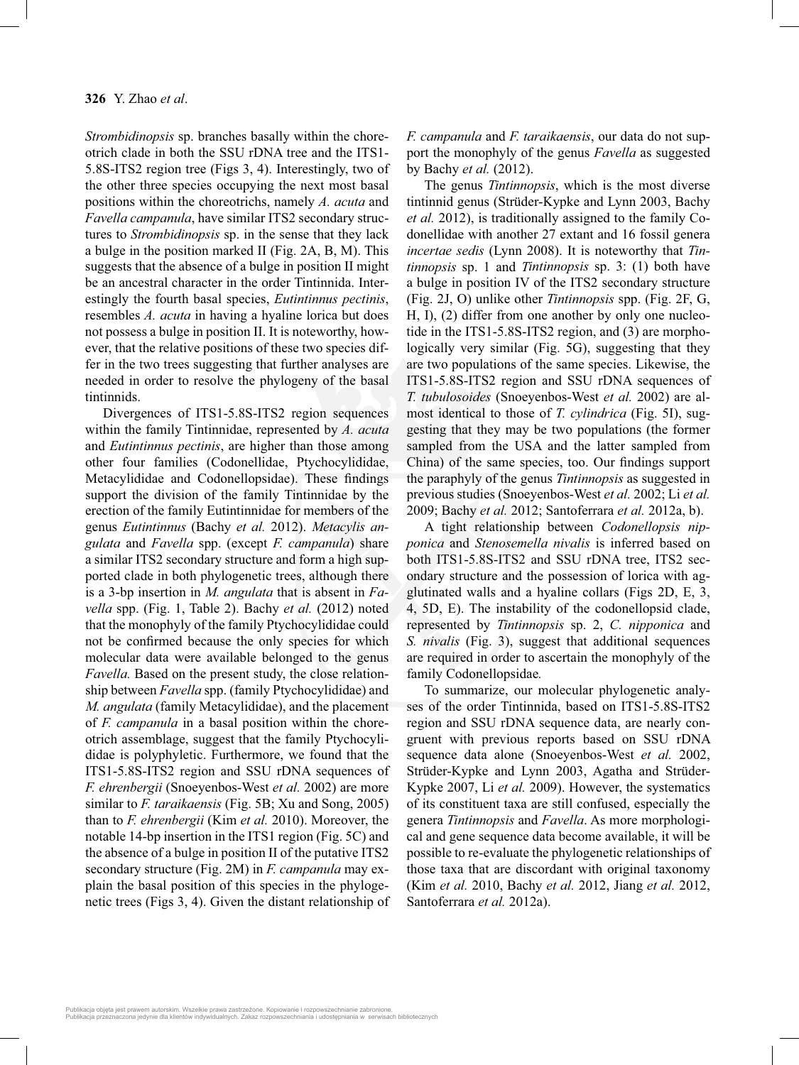*Strombidinopsis* sp. branches basally within the choreotrich clade in both the SSU rDNA tree and the ITS1- 5.8S-ITS2 region tree (Figs 3, 4). Interestingly, two of the other three species occupying the next most basal positions within the choreotrichs, namely *A. acuta* and *Favella campanula*, have similar ITS2 secondary structures to *Strombidinopsis* sp. in the sense that they lack a bulge in the position marked II (Fig. 2A, B, M). This suggests that the absence of a bulge in position II might be an ancestral character in the order Tintinnida. Interestingly the fourth basal species, *Eutintinnus pectinis*, resembles *A. acuta* in having a hyaline lorica but does not possess a bulge in position II. It is noteworthy, however, that the relative positions of these two species differ in the two trees suggesting that further analyses are needed in order to resolve the phylogeny of the basal tintinnids.

Divergences of ITS1-5.8S-ITS2 region sequences within the family Tintinnidae, represented by *A. acuta* and *Eutintinnus pectinis*, are higher than those among other four families (Codonellidae, Ptychocylididae, Metacylididae and Codonellopsidae). These findings support the division of the family Tintinnidae by the erection of the family Eutintinnidae for members of the genus *Eutintinnus* (Bachy *et al.* 2012). *Metacylis angulata* and *Favella* spp. (except *F. campanula*) share a similar ITS2 secondary structure and form a high supported clade in both phylogenetic trees, although there is a 3-bp insertion in *M. angulata* that is absent in *Favella* spp. (Fig. 1, Table 2). Bachy *et al.* (2012) noted that the monophyly of the family Ptychocylididae could not be confirmed because the only species for which molecular data were available belonged to the genus *Favella.* Based on the present study, the close relationship between *Favella* spp. (family Ptychocylididae) and *M. angulata* (family Metacylididae), and the placement of *F. campanula* in a basal position within the choreotrich assemblage, suggest that the family Ptychocylididae is polyphyletic. Furthermore, we found that the ITS1-5.8S-ITS2 region and SSU rDNA sequences of *F. ehrenbergii* (Snoeyenbos-West *et al.* 2002) are more similar to *F. taraikaensis* (Fig. 5B; Xu and Song, 2005) than to *F. ehrenbergii* (Kim *et al.* 2010). Moreover, the notable 14-bp insertion in the ITS1 region (Fig. 5C) and the absence of a bulge in position II of the putative ITS2 secondary structure (Fig. 2M) in *F. campanula* may explain the basal position of this species in the phylogenetic trees (Figs 3, 4). Given the distant relationship of *F. campanula* and *F. taraikaensis*, our data do not support the monophyly of the genus *Favella* as suggested by Bachy *et al.* (2012).

The genus *Tintinnopsis*, which is the most diverse tintinnid genus (Strüder-Kypke and Lynn 2003, Bachy *et al.* 2012), is traditionally assigned to the family Codonellidae with another 27 extant and 16 fossil genera *incertae sedis* (Lynn 2008). It is noteworthy that *Tintinnopsis* sp. 1 and *Tintinnopsis* sp. 3: (1) both have a bulge in position IV of the ITS2 secondary structure (Fig. 2J, O) unlike other *Tintinnopsis* spp. (Fig. 2F, G, H, I), (2) differ from one another by only one nucleotide in the ITS1-5.8S-ITS2 region, and (3) are morphologically very similar (Fig. 5G), suggesting that they are two populations of the same species. Likewise, the ITS1-5.8S-ITS2 region and SSU rDNA sequences of *T. tubulosoides* (Snoeyenbos-West *et al.* 2002) are almost identical to those of *T. cylindrica* (Fig. 5I), suggesting that they may be two populations (the former sampled from the USA and the latter sampled from China) of the same species, too. Our findings support the paraphyly of the genus *Tintinnopsis* as suggested in previous studies (Snoeyenbos-West *et al.* 2002; Li *et al.* 2009; Bachy *et al.* 2012; Santoferrara *et al.* 2012a, b).

A tight relationship between *Codonellopsis nipponica* and *Stenosemella nivalis* is inferred based on both ITS1-5.8S-ITS2 and SSU rDNA tree, ITS2 secondary structure and the possession of lorica with agglutinated walls and a hyaline collars (Figs 2D, E, 3, 4, 5D, E). The instability of the codonellopsid clade, represented by *Tintinnopsis* sp. 2, *C. nipponica* and *S. nivalis* (Fig. 3), suggest that additional sequences are required in order to ascertain the monophyly of the family Codonellopsidae*.*

To summarize, our molecular phylogenetic analyses of the order Tintinnida, based on ITS1-5.8S-ITS2 region and SSU rDNA sequence data, are nearly congruent with previous reports based on SSU rDNA sequence data alone (Snoeyenbos-West *et al.* 2002, Strüder-Kypke and Lynn 2003, Agatha and Strüder-Kypke 2007, Li *et al.* 2009). However, the systematics of its constituent taxa are still confused, especially the genera *Tintinnopsis* and *Favella*. As more morphological and gene sequence data become available, it will be possible to re-evaluate the phylogenetic relationships of those taxa that are discordant with original taxonomy (Kim *et al.* 2010, Bachy *et al.* 2012, Jiang *et al.* 2012, Santoferrara *et al.* 2012a).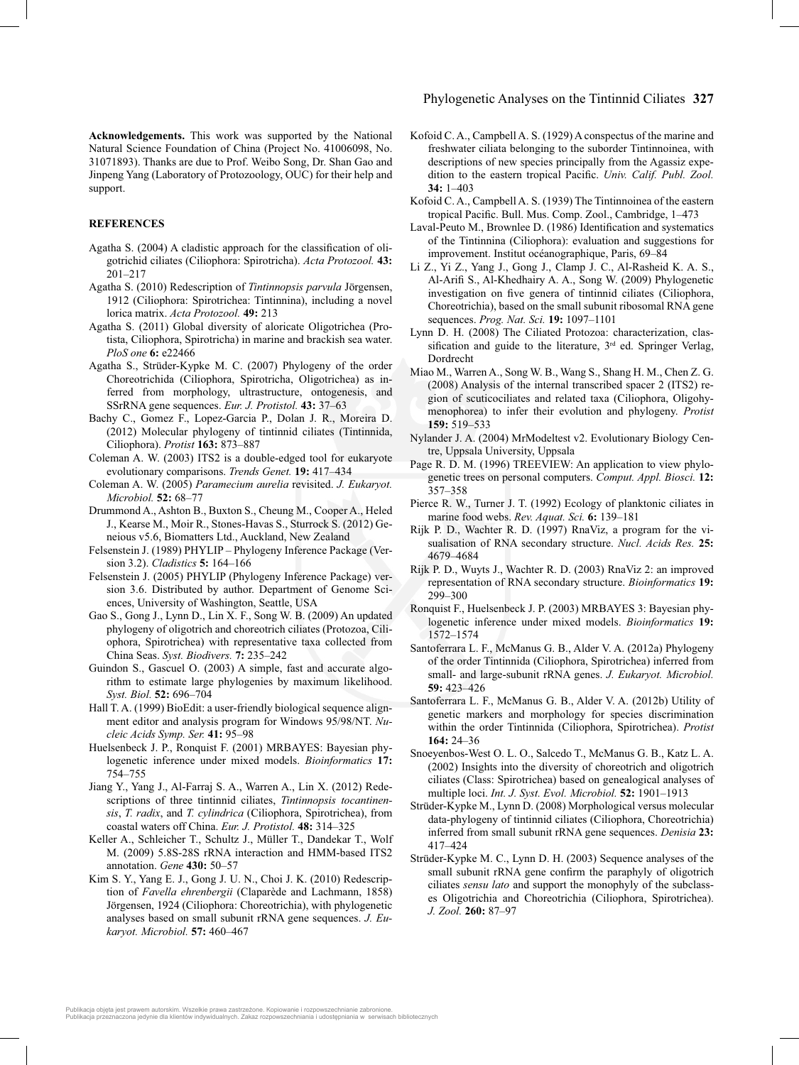**Acknowledgements.** This work was supported by the National Natural Science Foundation of China (Project No. 41006098, No. 31071893). Thanks are due to Prof. Weibo Song, Dr. Shan Gao and Jinpeng Yang (Laboratory of Protozoology, OUC) for their help and support.

#### **REFERENCES**

- Agatha S.  $(2004)$  A cladistic approach for the classification of oligotrichid ciliates (Ciliophora: Spirotricha). *Acta Protozool.* **43:** 201–217
- Agatha S. (2010) Redescription of *Tintinnopsis parvula* Jörgensen, 1912 (Ciliophora: Spirotrichea: Tintinnina), including a novel lorica matrix. *Acta Protozool.* **49:** 213
- Agatha S. (2011) Global diversity of aloricate Oligotrichea (Protista, Ciliophora, Spirotricha) in marine and brackish sea water. *PloS one* **6:** e22466
- Agatha S., Strüder-Kypke M. C. (2007) Phylogeny of the order Choreotrichida (Ciliophora, Spirotricha, Oligotrichea) as inferred from morphology, ultrastructure, ontogenesis, and SSrRNA gene sequences. *Eur. J. Protistol.* **43:** 37–63
- Bachy C., Gomez F., Lopez-Garcia P., Dolan J. R., Moreira D. (2012) Molecular phylogeny of tintinnid ciliates (Tintinnida, Ciliophora). *Protist* **163:** 873–887
- Coleman A. W. (2003) ITS2 is a double-edged tool for eukaryote evolutionary comparisons. *Trends Genet.* **19:** 417–434
- Coleman A. W. (2005) *Paramecium aurelia* revisited. *J. Eukaryot. Microbiol.* **52:** 68–77
- Drummond A., Ashton B., Buxton S., Cheung M., Cooper A., Heled J., Kearse M., Moir R., Stones-Havas S., Sturrock S. (2012) Geneious v5.6, Biomatters Ltd., Auckland, New Zealand
- Felsenstein J. (1989) PHYLIP Phylogeny Inference Package (Version 3.2). *Cladistics* **5:** 164–166
- Felsenstein J. (2005) PHYLIP (Phylogeny Inference Package) version 3.6. Distributed by author. Department of Genome Sciences, University of Washington, Seattle, USA
- Gao S., Gong J., Lynn D., Lin X. F., Song W. B. (2009) An updated phylogeny of oligotrich and choreotrich ciliates (Protozoa, Ciliophora, Spirotrichea) with representative taxa collected from China Seas. *Syst. Biodivers.* **7:** 235–242
- Guindon S., Gascuel O. (2003) A simple, fast and accurate algorithm to estimate large phylogenies by maximum likelihood. *Syst. Biol.* **52:** 696–704
- Hall T. A. (1999) BioEdit: a user-friendly biological sequence alignment editor and analysis program for Windows 95/98/NT. *Nucleic Acids Symp. Ser.* **41:** 95–98
- Huelsenbeck J. P., Ronquist F. (2001) MRBAYES: Bayesian phylogenetic inference under mixed models. *Bioinformatics* **17:** 754–755
- Jiang Y., Yang J., Al-Farraj S. A., Warren A., Lin X. (2012) Redescriptions of three tintinnid ciliates, *Tintinnopsis tocantinensis*, *T. radix*, and *T. cylindrica* (Ciliophora, Spirotrichea), from coastal waters off China. *Eur. J. Protistol.* **48:** 314–325
- Keller A., Schleicher T., Schultz J., Müller T., Dandekar T., Wolf M. (2009) 5.8S-28S rRNA interaction and HMM-based ITS2 annotation. *Gene* **430:** 50–57
- Kim S. Y., Yang E. J., Gong J. U. N., Choi J. K. (2010) Redescription of *Favella ehrenbergii* (Claparède and Lachmann, 1858) Jörgensen, 1924 (Ciliophora: Choreotrichia), with phylogenetic analyses based on small subunit rRNA gene sequences. *J. Eukaryot. Microbiol.* **57:** 460–467
- Kofoid C. A., Campbell A. S. (1929) A conspectus of the marine and freshwater ciliata belonging to the suborder Tintinnoinea, with descriptions of new species principally from the Agassiz expedition to the eastern tropical Pacific. *Univ. Calif. Publ. Zool.* **34:** 1–403
- Kofoid C. A., Campbell A. S. (1939) The Tintinnoinea of the eastern tropical Pacific. Bull. Mus. Comp. Zool., Cambridge, 1-473
- Laval-Peuto M., Brownlee D. (1986) Identification and systematics of the Tintinnina (Ciliophora): evaluation and suggestions for improvement. Institut océanographique, Paris, 69–84
- Li Z., Yi Z., Yang J., Gong J., Clamp J. C., Al-Rasheid K. A. S., Al-Arifi S., Al-Khedhairy A. A., Song W. (2009) Phylogenetic investigation on five genera of tintinnid ciliates (Ciliophora, Choreotrichia), based on the small subunit ribosomal RNA gene sequences. *Prog. Nat. Sci.* **19:** 1097–1101
- Lynn D. H. (2008) The Ciliated Protozoa: characterization, classification and guide to the literature, 3<sup>rd</sup> ed. Springer Verlag, Dordrecht
- Miao M., Warren A., Song W. B., Wang S., Shang H. M., Chen Z. G. (2008) Analysis of the internal transcribed spacer 2 (ITS2) region of scuticociliates and related taxa (Ciliophora, Oligohymenophorea) to infer their evolution and phylogeny. *Protist* **159:** 519–533
- Nylander J. A. (2004) MrModeltest v2. Evolutionary Biology Centre, Uppsala University, Uppsala
- Page R. D. M. (1996) TREEVIEW: An application to view phylogenetic trees on personal computers. *Comput. Appl. Biosci.* **12:** 357–358
- Pierce R. W., Turner J. T. (1992) Ecology of planktonic ciliates in marine food webs. *Rev. Aquat. Sci.* **6:** 139–181
- Rijk P. D., Wachter R. D. (1997) RnaViz, a program for the visualisation of RNA secondary structure. *Nucl. Acids Res.* **25:** 4679–4684
- Rijk P. D., Wuyts J., Wachter R. D. (2003) RnaViz 2: an improved representation of RNA secondary structure. *Bioinformatics* **19:** 299–300
- Ronquist F., Huelsenbeck J. P. (2003) MRBAYES 3: Bayesian phylogenetic inference under mixed models. *Bioinformatics* **19:** 1572–1574
- Santoferrara L. F., McManus G. B., Alder V. A. (2012a) Phylogeny of the order Tintinnida (Ciliophora, Spirotrichea) inferred from small- and large-subunit rRNA genes. *J. Eukaryot. Microbiol.* **59:** 423–426
- Santoferrara L. F., McManus G. B., Alder V. A. (2012b) Utility of genetic markers and morphology for species discrimination within the order Tintinnida (Ciliophora, Spirotrichea). *Protist* **164:** 24–36
- Snoeyenbos-West O. L. O., Salcedo T., McManus G. B., Katz L. A. (2002) Insights into the diversity of choreotrich and oligotrich ciliates (Class: Spirotrichea) based on genealogical analyses of multiple loci. *Int. J. Syst. Evol. Microbiol.* **52:** 1901–1913
- Strüder-Kypke M., Lynn D. (2008) Morphological versus molecular data-phylogeny of tintinnid ciliates (Ciliophora, Choreotrichia) inferred from small subunit rRNA gene sequences. *Denisia* **23:** 417–424
- Strüder-Kypke M. C., Lynn D. H. (2003) Sequence analyses of the small subunit rRNA gene confirm the paraphyly of oligotrich ciliates *sensu lato* and support the monophyly of the subclasses Oligotrichia and Choreotrichia (Ciliophora, Spirotrichea). *J. Zool.* **260:** 87–97